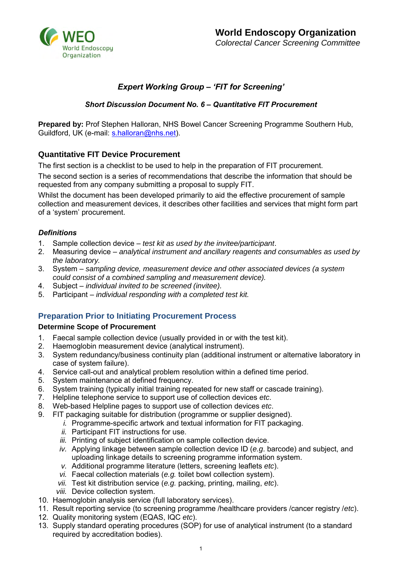

# *Expert Working Group – 'FIT for Screening'*

## *Short Discussion Document No. 6 – Quantitative FIT Procurement*

**Prepared by:** Prof Stephen Halloran, NHS Bowel Cancer Screening Programme Southern Hub, Guildford, UK (e-mail: [s.halloran@nhs.net\)](mailto:s.halloran@nhs.net).

## **Quantitative FIT Device Procurement**

The first section is a checklist to be used to help in the preparation of FIT procurement.

The second section is a series of recommendations that describe the information that should be requested from any company submitting a proposal to supply FIT.

Whilst the document has been developed primarily to aid the effective procurement of sample collection and measurement devices, it describes other facilities and services that might form part of a 'system' procurement.

## *Definitions*

- 1. Sample collection device *test kit as used by the invitee/participant*.
- 2. Measuring device *analytical instrument and ancillary reagents and consumables as used by the laboratory.*
- 3. System *sampling device, measurement device and other associated devices (a system could consist of a combined sampling and measurement device).*
- 4. Subject *individual invited to be screened (invitee).*
- 5. Participant *individual responding with a completed test kit.*

## **Preparation Prior to Initiating Procurement Process**

### **Determine Scope of Procurement**

- 1. Faecal sample collection device (usually provided in or with the test kit).
- 2. Haemoglobin measurement device (analytical instrument).
- 3. System redundancy/business continuity plan (additional instrument or alternative laboratory in case of system failure).
- 4. Service call-out and analytical problem resolution within a defined time period.
- 5. System maintenance at defined frequency.
- 6. System training (typically initial training repeated for new staff or cascade training).
- 7. Helpline telephone service to support use of collection devices *etc*.
- 8. Web-based Helpline pages to support use of collection devices *etc*.
- 9. FIT packaging suitable for distribution (programme or supplier designed).
	- *i.* Programme-specific artwork and textual information for FIT packaging.
	- *ii.* Participant FIT instructions for use.
	- *iii.* Printing of subject identification on sample collection device.
	- *iv.* Applying linkage between sample collection device ID (*e.g*. barcode) and subject, and uploading linkage details to screening programme information system.
	- *v.* Additional programme literature (letters, screening leaflets *etc*).
	- *vi.* Faecal collection materials (*e.g.* toilet bowl collection system).
	- *vii.* Test kit distribution service (*e.g.* packing, printing, mailing, *etc*).
	- *viii.* Device collection system.
- 10. Haemoglobin analysis service (full laboratory services).
- 11. Result reporting service (to screening programme /healthcare providers /cancer registry /*etc*).
- 12. Quality monitoring system (EQAS, IQC *etc*).
- 13. Supply standard operating procedures (SOP) for use of analytical instrument (to a standard required by accreditation bodies).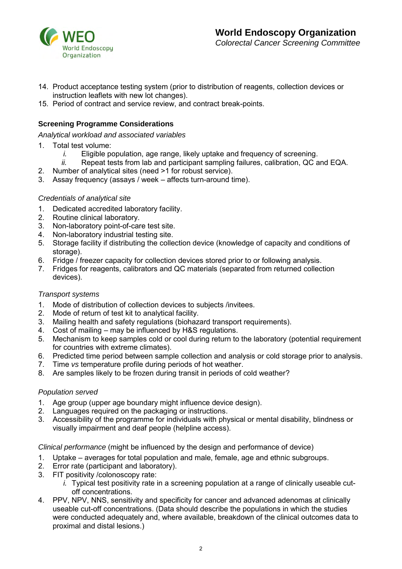

- 14. Product acceptance testing system (prior to distribution of reagents, collection devices or instruction leaflets with new lot changes).
- 15. Period of contract and service review, and contract break-points.

## **Screening Programme Considerations**

*Analytical workload and associated variables* 

- 1. Total test volume:
	- *i.* Eligible population, age range, likely uptake and frequency of screening.
	- *ii.* Repeat tests from lab and participant sampling failures, calibration, QC and EQA.
- 2. Number of analytical sites (need >1 for robust service).
- 3. Assay frequency (assays / week affects turn-around time).

### *Credentials of analytical site*

- 1. Dedicated accredited laboratory facility.
- 2. Routine clinical laboratory.
- 3. Non-laboratory point-of-care test site.
- 4. Non-laboratory industrial testing site.
- 5. Storage facility if distributing the collection device (knowledge of capacity and conditions of storage).
- 6. Fridge / freezer capacity for collection devices stored prior to or following analysis.
- 7. Fridges for reagents, calibrators and QC materials (separated from returned collection devices).

### *Transport systems*

- 1. Mode of distribution of collection devices to subjects /invitees.
- 2. Mode of return of test kit to analytical facility.<br>3. Mailing health and safety regulations (biohaz
- Mailing health and safety regulations (biohazard transport requirements).
- 4. Cost of mailing may be influenced by H&S regulations.
- 5. Mechanism to keep samples cold or cool during return to the laboratory (potential requirement for countries with extreme climates).
- 6. Predicted time period between sample collection and analysis or cold storage prior to analysis.
- 7. Time *vs* temperature profile during periods of hot weather.
- 8. Are samples likely to be frozen during transit in periods of cold weather?

### *Population served*

- 1. Age group (upper age boundary might influence device design).
- 2. Languages required on the packaging or instructions.
- 3. Accessibility of the programme for individuals with physical or mental disability, blindness or visually impairment and deaf people (helpline access).

*Clinical performance* (might be influenced by the design and performance of device)

- 1. Uptake averages for total population and male, female, age and ethnic subgroups.
- 2. Error rate (participant and laboratory).
- 3. FIT positivity /colonoscopy rate:
	- *i.* Typical test positivity rate in a screening population at a range of clinically useable cutoff concentrations.
- 4. PPV, NPV, NNS, sensitivity and specificity for cancer and advanced adenomas at clinically useable cut-off concentrations. (Data should describe the populations in which the studies were conducted adequately and, where available, breakdown of the clinical outcomes data to proximal and distal lesions.)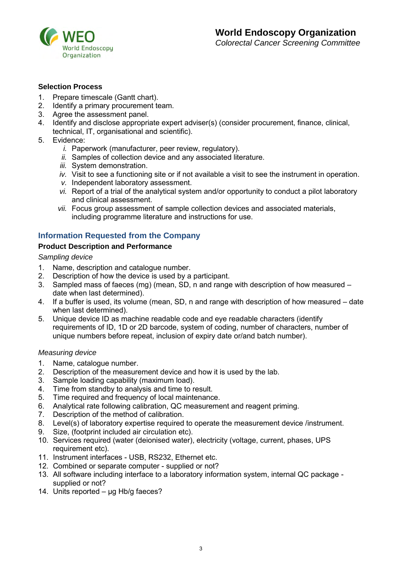

### **Selection Process**

- 1. Prepare timescale (Gantt chart).
- 2. Identify a primary procurement team.
- 3. Agree the assessment panel.
- 4. Identify and disclose appropriate expert adviser(s) (consider procurement, finance, clinical, technical, IT, organisational and scientific).
- 5. Evidence:
	- *i.* Paperwork (manufacturer, peer review, regulatory).
	- *ii.* Samples of collection device and any associated literature.
	- *iii.* System demonstration.
	- *iv.* Visit to see a functioning site or if not available a visit to see the instrument in operation.
	- *v.* Independent laboratory assessment.
	- *vi.* Report of a trial of the analytical system and/or opportunity to conduct a pilot laboratory and clinical assessment.
	- *vii.* Focus group assessment of sample collection devices and associated materials, including programme literature and instructions for use.

## **Information Requested from the Company**

#### **Product Description and Performance**

*Sampling device* 

- 1. Name, description and catalogue number.
- 2. Description of how the device is used by a participant.
- 3. Sampled mass of faeces (mg) (mean, SD, n and range with description of how measured date when last determined).
- 4. If a buffer is used, its volume (mean, SD, n and range with description of how measured date when last determined).
- 5. Unique device ID as machine readable code and eye readable characters (identify requirements of ID, 1D or 2D barcode, system of coding, number of characters, number of unique numbers before repeat, inclusion of expiry date or/and batch number).

#### *Measuring device*

- 1. Name, catalogue number.
- 2. Description of the measurement device and how it is used by the lab.
- 3. Sample loading capability (maximum load).
- 4. Time from standby to analysis and time to result.
- 5. Time required and frequency of local maintenance.<br>6. Analytical rate following calibration. OC measureme
- 6. Analytical rate following calibration, QC measurement and reagent priming.
- 7. Description of the method of calibration.
- 8. Level(s) of laboratory expertise required to operate the measurement device /instrument.
- 9. Size, (footprint included air circulation etc).
- 10. Services required (water (deionised water), electricity (voltage, current, phases, UPS requirement etc).
- 11. Instrument interfaces USB, RS232, Ethernet etc.
- 12. Combined or separate computer supplied or not?
- 13. All software including interface to a laboratory information system, internal QC package supplied or not?
- 14. Units reported µg Hb/g faeces?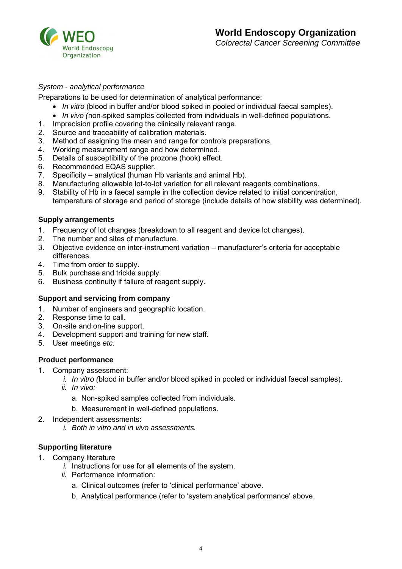

### *System - analytical performance*

Preparations to be used for determination of analytical performance:

- *In vitro* (blood in buffer and/or blood spiked in pooled or individual faecal samples).
- *In vivo (*non-spiked samples collected from individuals in well-defined populations.
- 1. Imprecision profile covering the clinically relevant range.
- 2. Source and traceability of calibration materials.
- 3. Method of assigning the mean and range for controls preparations.
- 4. Working measurement range and how determined.
- 5. Details of susceptibility of the prozone (hook) effect.
- 6. Recommended EQAS supplier.
- 7. Specificity analytical (human Hb variants and animal Hb).
- 8. Manufacturing allowable lot-to-lot variation for all relevant reagents combinations.
- 9. Stability of Hb in a faecal sample in the collection device related to initial concentration, temperature of storage and period of storage (include details of how stability was determined).

### **Supply arrangements**

- 1. Frequency of lot changes (breakdown to all reagent and device lot changes).
- 2. The number and sites of manufacture.
- 3. Objective evidence on inter-instrument variation manufacturer's criteria for acceptable differences.
- 4. Time from order to supply.
- 5. Bulk purchase and trickle supply.
- 6. Business continuity if failure of reagent supply.

### **Support and servicing from company**

- 1. Number of engineers and geographic location.
- 2. Response time to call.
- 3. On-site and on-line support.
- 4. Development support and training for new staff.
- 5. User meetings *etc*.

### **Product performance**

- 1. Company assessment:
	- *i. In vitro (*blood in buffer and/or blood spiked in pooled or individual faecal samples).
	- *ii. In vivo:* 
		- a. Non-spiked samples collected from individuals.
		- b. Measurement in well-defined populations.
- 2. Independent assessments:
	- *i. Both in vitro and in vivo assessments.*

## **Supporting literature**

- 1. Company literature
	- *i.* Instructions for use for all elements of the system.
	- *ii.* Performance information:
		- a. Clinical outcomes (refer to 'clinical performance' above.
		- b. Analytical performance (refer to 'system analytical performance' above.